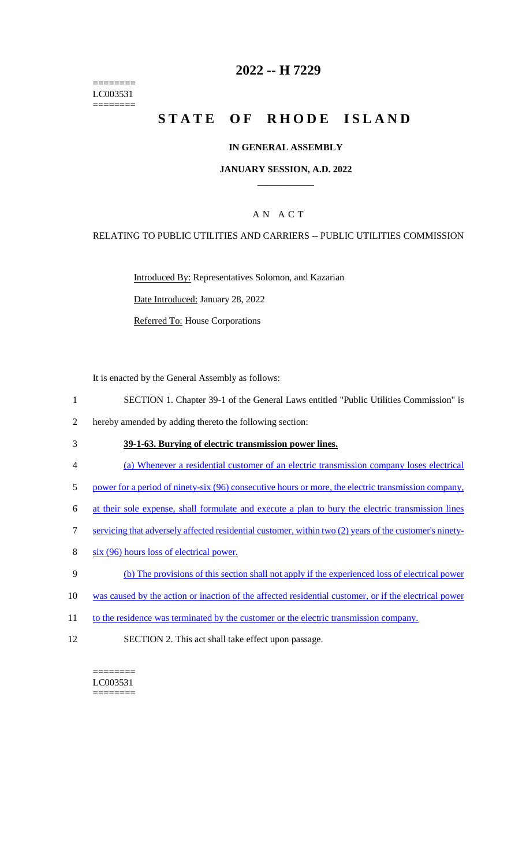======== LC003531 ========

## **2022 -- H 7229**

# **STATE OF RHODE ISLAND**

#### **IN GENERAL ASSEMBLY**

#### **JANUARY SESSION, A.D. 2022 \_\_\_\_\_\_\_\_\_\_\_\_**

## A N A C T

#### RELATING TO PUBLIC UTILITIES AND CARRIERS -- PUBLIC UTILITIES COMMISSION

Introduced By: Representatives Solomon, and Kazarian

Date Introduced: January 28, 2022

Referred To: House Corporations

It is enacted by the General Assembly as follows:

- 1 SECTION 1. Chapter 39-1 of the General Laws entitled "Public Utilities Commission" is
- 2 hereby amended by adding thereto the following section:
- 3 **39-1-63. Burying of electric transmission power lines.**
- 4 (a) Whenever a residential customer of an electric transmission company loses electrical
- 5 power for a period of ninety-six (96) consecutive hours or more, the electric transmission company,
- 6 at their sole expense, shall formulate and execute a plan to bury the electric transmission lines
- 7 servicing that adversely affected residential customer, within two (2) years of the customer's ninety-
- 8 six (96) hours loss of electrical power.
- 9 (b) The provisions of this section shall not apply if the experienced loss of electrical power
- 10 was caused by the action or inaction of the affected residential customer, or if the electrical power
- 11 to the residence was terminated by the customer or the electric transmission company.
- 12 SECTION 2. This act shall take effect upon passage.

 $=$ LC003531 ========